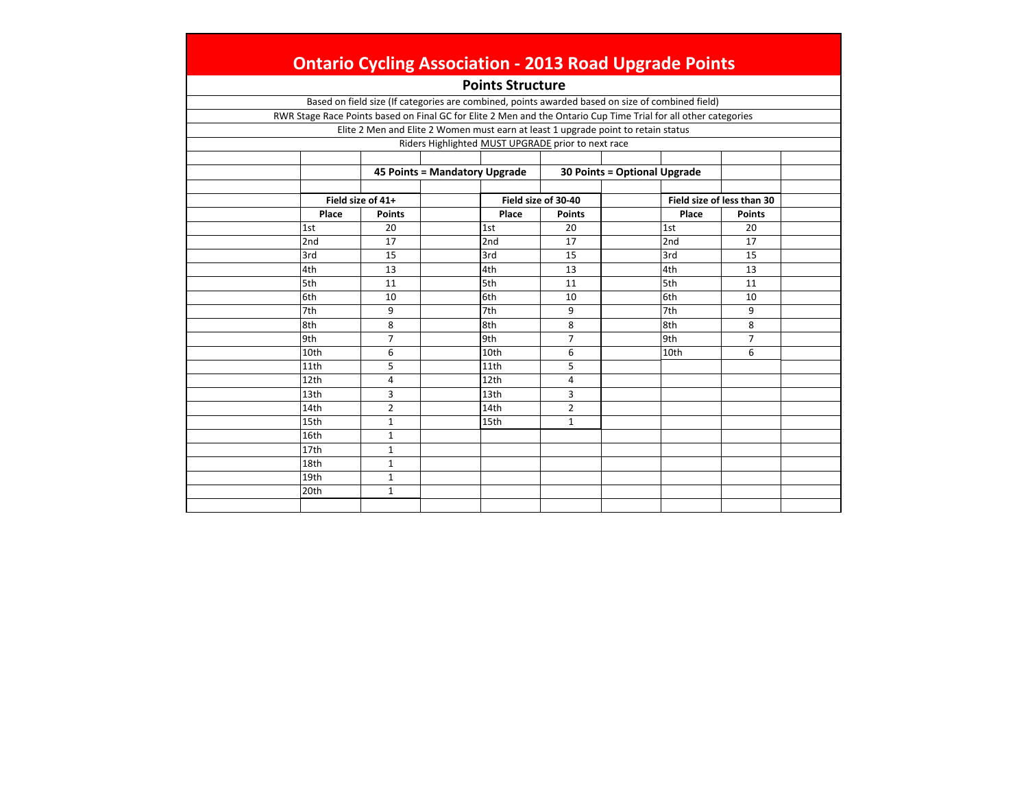|                 |                   | <b>Points Structure</b>                                                                                         |                     |                              |                            |
|-----------------|-------------------|-----------------------------------------------------------------------------------------------------------------|---------------------|------------------------------|----------------------------|
|                 |                   | Based on field size (If categories are combined, points awarded based on size of combined field)                |                     |                              |                            |
|                 |                   | RWR Stage Race Points based on Final GC for Elite 2 Men and the Ontario Cup Time Trial for all other categories |                     |                              |                            |
|                 |                   | Elite 2 Men and Elite 2 Women must earn at least 1 upgrade point to retain status                               |                     |                              |                            |
|                 |                   | Riders Highlighted MUST UPGRADE prior to next race                                                              |                     |                              |                            |
|                 |                   |                                                                                                                 |                     |                              |                            |
|                 |                   | 45 Points = Mandatory Upgrade                                                                                   |                     | 30 Points = Optional Upgrade |                            |
|                 | Field size of 41+ |                                                                                                                 | Field size of 30-40 |                              | Field size of less than 30 |
| Place           | <b>Points</b>     | Place                                                                                                           | <b>Points</b>       | Place                        | <b>Points</b>              |
| 1st             | 20                | 1st                                                                                                             | 20                  | 1st                          | 20                         |
| 2 <sub>nd</sub> | 17                | 2nd                                                                                                             | 17                  | 2nd                          | 17                         |
| 3rd             | 15                | 3rd                                                                                                             | 15                  | 3rd                          | 15                         |
| 4th             | 13                | 4th                                                                                                             | 13                  | 4th                          | 13                         |
| 5th             | 11                | 5th                                                                                                             | 11                  | 5th                          | 11                         |
| 6th             | 10                | 6th                                                                                                             | 10                  | 6th                          | 10                         |
| 7th             | 9                 | 7th                                                                                                             | 9                   | 7th                          | 9                          |
| 8th             | 8                 | 8th                                                                                                             | 8                   | 8th                          | 8                          |
| 9th             | 7                 | 9th                                                                                                             | $\overline{7}$      | 9th                          | $\overline{7}$             |
| 10th            | 6                 | 10th                                                                                                            | 6                   | 10th                         | 6                          |
| 11th            | 5                 | 11th                                                                                                            | 5                   |                              |                            |
| 12th            | 4                 | 12th                                                                                                            | 4                   |                              |                            |
| 13th            | 3                 | 13th                                                                                                            | 3                   |                              |                            |
| 14th            | $\overline{2}$    | 14th                                                                                                            | $\overline{2}$      |                              |                            |
| 15th            | 1                 | 15th                                                                                                            | $\mathbf{1}$        |                              |                            |
| 16th            | $\mathbf{1}$      |                                                                                                                 |                     |                              |                            |
| 17th            | $\mathbf{1}$      |                                                                                                                 |                     |                              |                            |
| 18th            | $\mathbf{1}$      |                                                                                                                 |                     |                              |                            |
| 19th            | $\mathbf{1}$      |                                                                                                                 |                     |                              |                            |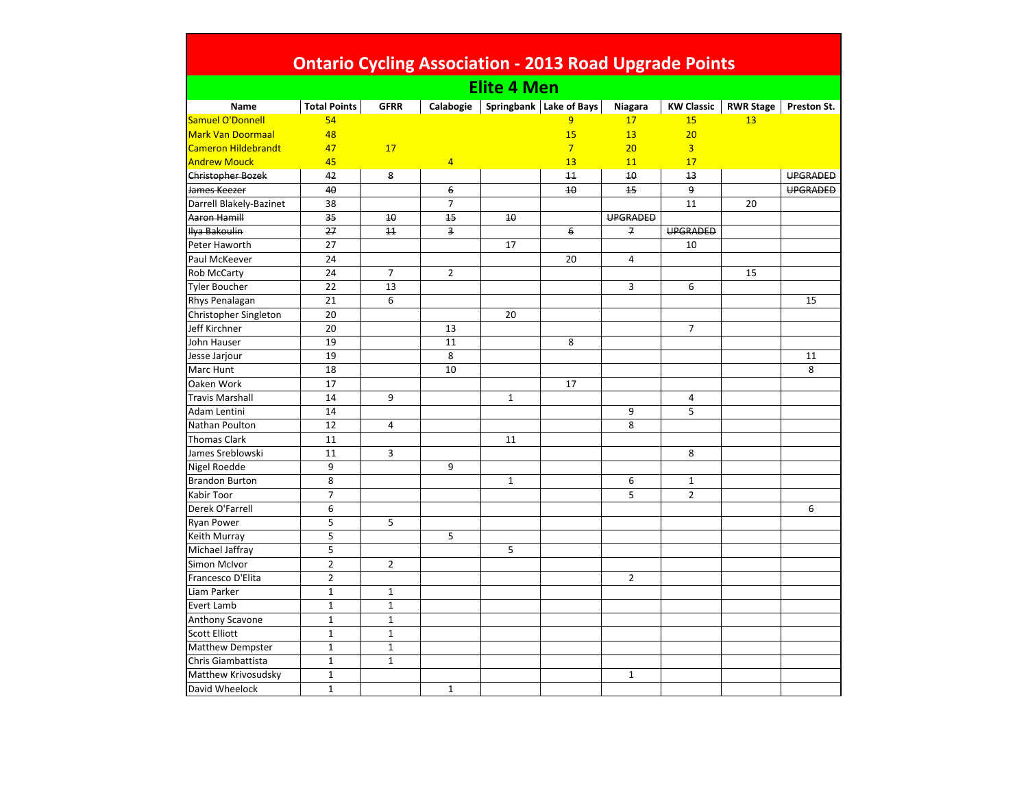|                            | <b>Ontario Cycling Association - 2013 Road Upgrade Points</b> |                |                |                    |                         |                 |                   |                  |             |
|----------------------------|---------------------------------------------------------------|----------------|----------------|--------------------|-------------------------|-----------------|-------------------|------------------|-------------|
|                            |                                                               |                |                | <b>Elite 4 Men</b> |                         |                 |                   |                  |             |
| Name                       | <b>Total Points</b>                                           | <b>GFRR</b>    | Calabogie      |                    | Springbank Lake of Bays | Niagara         | <b>KW Classic</b> | <b>RWR Stage</b> | Preston St. |
| Samuel O'Donnell           | 54                                                            |                |                |                    | 9                       | 17              | 15                | 13               |             |
| <b>Mark Van Doormaal</b>   | 48                                                            |                |                |                    | 15                      | 13              | 20                |                  |             |
| <b>Cameron Hildebrandt</b> | 47                                                            | 17             |                |                    | $\overline{7}$          | 20              | $\overline{3}$    |                  |             |
| <b>Andrew Mouck</b>        | 45                                                            |                | $\overline{4}$ |                    | 13                      | 11              | 17                |                  |             |
| <b>Christopher Bozek</b>   | 42                                                            | 8              |                |                    | 11                      | 10              | 13                |                  | UPGRADED    |
| James Keezer               | 40                                                            |                | 6              |                    | 40                      | 15              | 9                 |                  | UPGRADED    |
| Darrell Blakely-Bazinet    | 38                                                            |                | $\overline{7}$ |                    |                         |                 | 11                | 20               |             |
| Aaron Hamill               | 35                                                            | 10             | 45             | 10                 |                         | <b>UPGRADED</b> |                   |                  |             |
| Ilya Bakoulin              | 27                                                            | 11             | 3              |                    | 6                       | $\overline{f}$  | <b>UPGRADED</b>   |                  |             |
| Peter Haworth              | 27                                                            |                |                | 17                 |                         |                 | 10                |                  |             |
| Paul McKeever              | 24                                                            |                |                |                    | 20                      | 4               |                   |                  |             |
| <b>Rob McCarty</b>         | 24                                                            | $\overline{7}$ | $\overline{2}$ |                    |                         |                 |                   | 15               |             |
| <b>Tyler Boucher</b>       | 22                                                            | 13             |                |                    |                         | 3               | 6                 |                  |             |
| Rhys Penalagan             | 21                                                            | 6              |                |                    |                         |                 |                   |                  | 15          |
| Christopher Singleton      | 20                                                            |                |                | 20                 |                         |                 |                   |                  |             |
| Jeff Kirchner              | 20                                                            |                | 13             |                    |                         |                 | $\overline{7}$    |                  |             |
| John Hauser                | 19                                                            |                | 11             |                    | 8                       |                 |                   |                  |             |
| Jesse Jarjour              | 19                                                            |                | 8              |                    |                         |                 |                   |                  | 11          |
| Marc Hunt                  | 18                                                            |                | 10             |                    |                         |                 |                   |                  | 8           |
| Oaken Work                 | 17                                                            |                |                |                    | 17                      |                 |                   |                  |             |
| <b>Travis Marshall</b>     | 14                                                            | 9              |                | $\mathbf{1}$       |                         |                 | $\overline{a}$    |                  |             |
| <b>Adam Lentini</b>        | 14                                                            |                |                |                    |                         | 9               | 5                 |                  |             |
| Nathan Poulton             | 12                                                            | 4              |                |                    |                         | 8               |                   |                  |             |
| <b>Thomas Clark</b>        | 11                                                            |                |                | 11                 |                         |                 |                   |                  |             |
| James Sreblowski           | 11                                                            | 3              |                |                    |                         |                 | 8                 |                  |             |
| Nigel Roedde               | 9                                                             |                | 9              |                    |                         |                 |                   |                  |             |
| <b>Brandon Burton</b>      | 8                                                             |                |                | $\mathbf{1}$       |                         | 6               | $\mathbf{1}$      |                  |             |
| <b>Kabir Toor</b>          | $\overline{7}$                                                |                |                |                    |                         | 5               | $\overline{2}$    |                  |             |
| Derek O'Farrell            | 6                                                             |                |                |                    |                         |                 |                   |                  | 6           |
| <b>Ryan Power</b>          | 5                                                             | 5              |                |                    |                         |                 |                   |                  |             |
| Keith Murray               | 5                                                             |                | 5              |                    |                         |                 |                   |                  |             |
| Michael Jaffray            | 5                                                             |                |                | 5                  |                         |                 |                   |                  |             |
| Simon McIvor               | $\overline{2}$                                                | $\overline{2}$ |                |                    |                         |                 |                   |                  |             |
| Francesco D'Elita          | $\overline{2}$                                                |                |                |                    |                         | $\overline{2}$  |                   |                  |             |
| Liam Parker                | $\mathbf{1}$                                                  | $\mathbf{1}$   |                |                    |                         |                 |                   |                  |             |
| <b>Evert Lamb</b>          | $\mathbf{1}$                                                  | $\mathbf{1}$   |                |                    |                         |                 |                   |                  |             |
| Anthony Scavone            | $\mathbf 1$                                                   | $\mathbf 1$    |                |                    |                         |                 |                   |                  |             |
| <b>Scott Elliott</b>       | $\mathbf{1}$                                                  | $\mathbf 1$    |                |                    |                         |                 |                   |                  |             |
| <b>Matthew Dempster</b>    | $\mathbf{1}$                                                  | $\mathbf{1}$   |                |                    |                         |                 |                   |                  |             |
| Chris Giambattista         | $\mathbf{1}$                                                  | $\mathbf{1}$   |                |                    |                         |                 |                   |                  |             |
| Matthew Krivosudsky        | $\mathbf{1}$                                                  |                |                |                    |                         | $\mathbf{1}$    |                   |                  |             |
| David Wheelock             | $\mathbf{1}$                                                  |                | $\mathbf{1}$   |                    |                         |                 |                   |                  |             |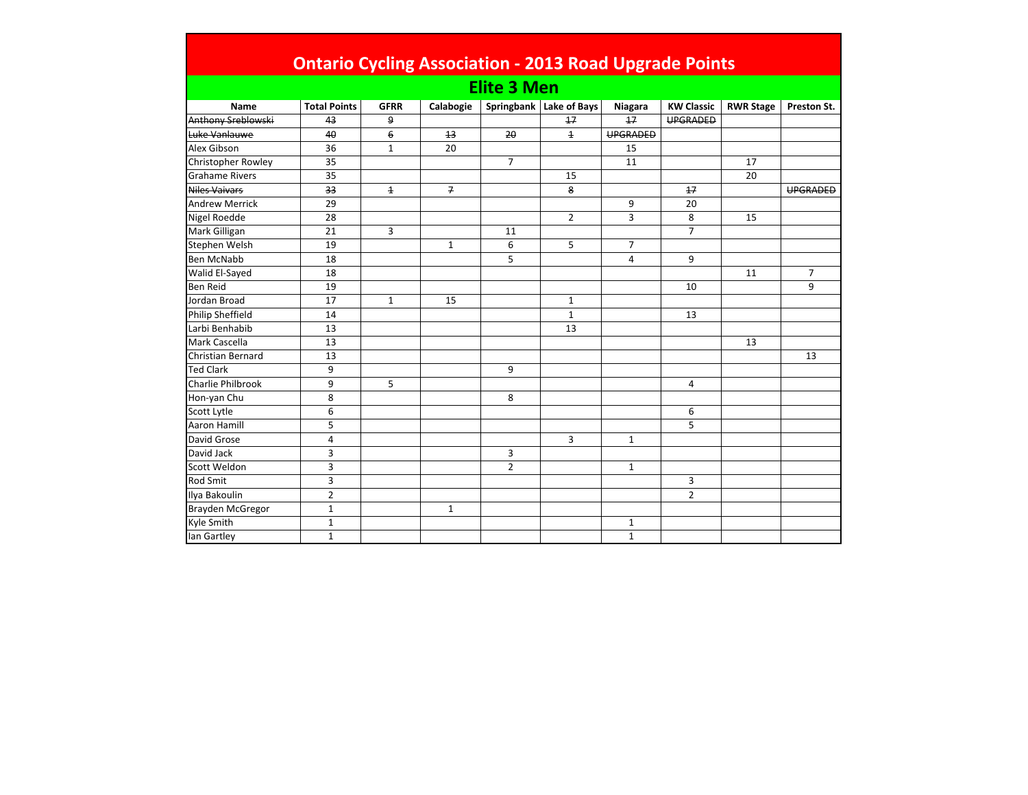|                          | <b>Ontario Cycling Association - 2013 Road Upgrade Points</b> |                |              |                    |                           |                 |                   |                  |                 |
|--------------------------|---------------------------------------------------------------|----------------|--------------|--------------------|---------------------------|-----------------|-------------------|------------------|-----------------|
|                          |                                                               |                |              | <b>Elite 3 Men</b> |                           |                 |                   |                  |                 |
| Name                     | <b>Total Points</b>                                           | <b>GFRR</b>    | Calabogie    |                    | Springbank   Lake of Bays | Niagara         | <b>KW Classic</b> | <b>RWR Stage</b> | Preston St.     |
| Anthony Sreblowski       | 43                                                            | 9              |              |                    | 17                        | 17              | <b>UPGRADED</b>   |                  |                 |
| Luke Vanlauwe            | 40                                                            | 6              | 13           | 20                 | $\overline{1}$            | <b>UPGRADED</b> |                   |                  |                 |
| Alex Gibson              | 36                                                            | $\mathbf{1}$   | 20           |                    |                           | 15              |                   |                  |                 |
| Christopher Rowley       | 35                                                            |                |              | $\overline{7}$     |                           | 11              |                   | 17               |                 |
| <b>Grahame Rivers</b>    | 35                                                            |                |              |                    | 15                        |                 |                   | 20               |                 |
| Niles Vaivars            | 33                                                            | $\overline{1}$ | 7            |                    | 8                         |                 | 17                |                  | <b>UPGRADED</b> |
| <b>Andrew Merrick</b>    | 29                                                            |                |              |                    |                           | 9               | 20                |                  |                 |
| Nigel Roedde             | 28                                                            |                |              |                    | $\overline{2}$            | 3               | 8                 | 15               |                 |
| Mark Gilligan            | 21                                                            | 3              |              | 11                 |                           |                 | $\overline{7}$    |                  |                 |
| Stephen Welsh            | 19                                                            |                | $\mathbf{1}$ | 6                  | 5                         | $\overline{7}$  |                   |                  |                 |
| <b>Ben McNabb</b>        | 18                                                            |                |              | 5                  |                           | 4               | 9                 |                  |                 |
| Walid El-Sayed           | 18                                                            |                |              |                    |                           |                 |                   | 11               | $\overline{7}$  |
| <b>Ben Reid</b>          | 19                                                            |                |              |                    |                           |                 | 10                |                  | 9               |
| Jordan Broad             | 17                                                            | $\mathbf{1}$   | 15           |                    | $\mathbf{1}$              |                 |                   |                  |                 |
| <b>Philip Sheffield</b>  | 14                                                            |                |              |                    | $\mathbf{1}$              |                 | 13                |                  |                 |
| Larbi Benhabib           | 13                                                            |                |              |                    | 13                        |                 |                   |                  |                 |
| <b>Mark Cascella</b>     | 13                                                            |                |              |                    |                           |                 |                   | 13               |                 |
| <b>Christian Bernard</b> | 13                                                            |                |              |                    |                           |                 |                   |                  | 13              |
| <b>Ted Clark</b>         | 9                                                             |                |              | 9                  |                           |                 |                   |                  |                 |
| Charlie Philbrook        | 9                                                             | 5              |              |                    |                           |                 | 4                 |                  |                 |
| Hon-yan Chu              | 8                                                             |                |              | 8                  |                           |                 |                   |                  |                 |
| Scott Lytle              | 6                                                             |                |              |                    |                           |                 | 6                 |                  |                 |
| <b>Aaron Hamill</b>      | 5                                                             |                |              |                    |                           |                 | 5                 |                  |                 |
| David Grose              | $\overline{4}$                                                |                |              |                    | 3                         | $\mathbf{1}$    |                   |                  |                 |
| David Jack               | 3                                                             |                |              | 3                  |                           |                 |                   |                  |                 |
| Scott Weldon             | 3                                                             |                |              | $\overline{2}$     |                           | $\mathbf{1}$    |                   |                  |                 |
| <b>Rod Smit</b>          | 3                                                             |                |              |                    |                           |                 | 3                 |                  |                 |
| Ilya Bakoulin            | $\overline{2}$                                                |                |              |                    |                           |                 | $\overline{2}$    |                  |                 |
| Brayden McGregor         | $\mathbf{1}$                                                  |                | $\mathbf{1}$ |                    |                           |                 |                   |                  |                 |
| Kyle Smith               | $\mathbf{1}$                                                  |                |              |                    |                           | $\mathbf{1}$    |                   |                  |                 |
| lan Gartley              | $1\,$                                                         |                |              |                    |                           | $\mathbf{1}$    |                   |                  |                 |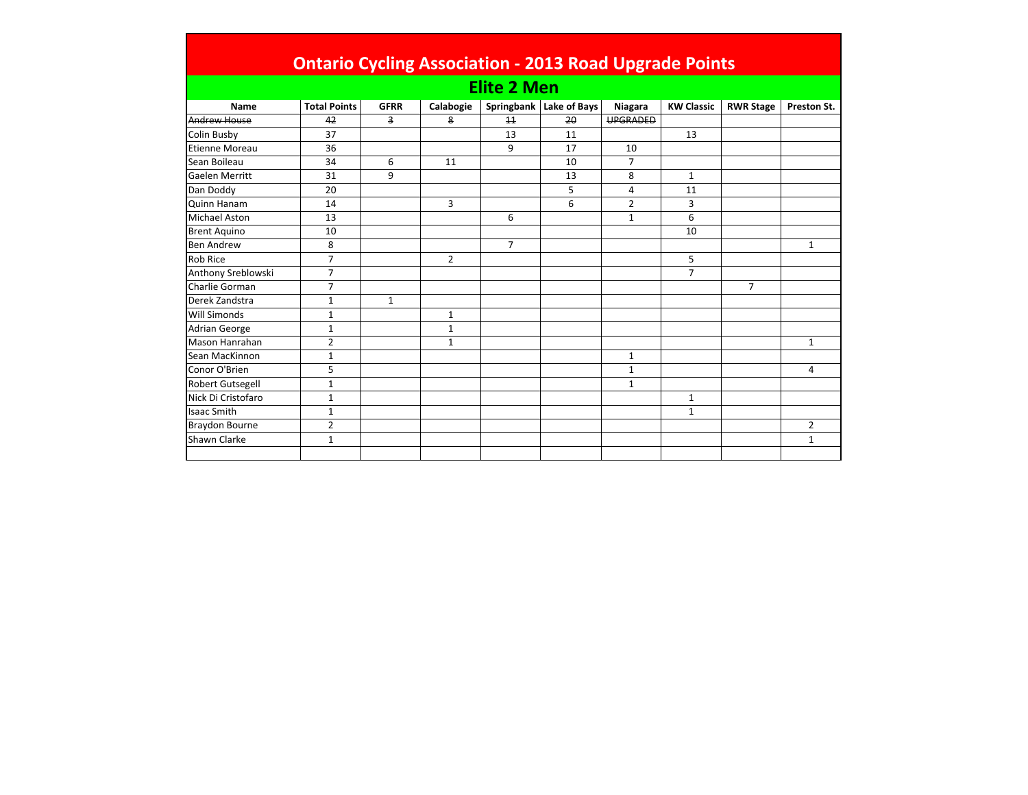|                      | <b>Ontario Cycling Association - 2013 Road Upgrade Points</b> |              |                |                    |                           |                 |                   |                  |                |
|----------------------|---------------------------------------------------------------|--------------|----------------|--------------------|---------------------------|-----------------|-------------------|------------------|----------------|
|                      |                                                               |              |                | <b>Elite 2 Men</b> |                           |                 |                   |                  |                |
| Name                 | <b>Total Points</b>                                           | <b>GFRR</b>  | Calabogie      |                    | Springbank   Lake of Bays | Niagara         | <b>KW Classic</b> | <b>RWR Stage</b> | Preston St.    |
| <b>Andrew House</b>  | 42                                                            | 3            | 8              | 11                 | 20                        | <b>UPGRADED</b> |                   |                  |                |
| <b>Colin Busby</b>   | 37                                                            |              |                | 13                 | 11                        |                 | 13                |                  |                |
| Etienne Moreau       | 36                                                            |              |                | 9                  | 17                        | 10              |                   |                  |                |
| Sean Boileau         | 34                                                            | 6            | 11             |                    | 10                        | $\overline{7}$  |                   |                  |                |
| Gaelen Merritt       | 31                                                            | 9            |                |                    | 13                        | 8               | $\mathbf{1}$      |                  |                |
| Dan Doddy            | 20                                                            |              |                |                    | 5                         | 4               | 11                |                  |                |
| Quinn Hanam          | 14                                                            |              | 3              |                    | 6                         | $\overline{2}$  | 3                 |                  |                |
| Michael Aston        | 13                                                            |              |                | 6                  |                           | $\mathbf{1}$    | 6                 |                  |                |
| <b>Brent Aquino</b>  | 10                                                            |              |                |                    |                           |                 | 10                |                  |                |
| <b>Ben Andrew</b>    | 8                                                             |              |                | $\overline{7}$     |                           |                 |                   |                  | $\mathbf{1}$   |
| Rob Rice             | $\overline{7}$                                                |              | $\overline{2}$ |                    |                           |                 | 5                 |                  |                |
| Anthony Sreblowski   | $\overline{7}$                                                |              |                |                    |                           |                 | $\overline{7}$    |                  |                |
| Charlie Gorman       | $\overline{7}$                                                |              |                |                    |                           |                 |                   | $\overline{7}$   |                |
| Derek Zandstra       | $1\,$                                                         | $\mathbf{1}$ |                |                    |                           |                 |                   |                  |                |
| <b>Will Simonds</b>  | $\mathbf{1}$                                                  |              | 1              |                    |                           |                 |                   |                  |                |
| <b>Adrian George</b> | $\mathbf{1}$                                                  |              | 1              |                    |                           |                 |                   |                  |                |
| Mason Hanrahan       | $\overline{2}$                                                |              | 1              |                    |                           |                 |                   |                  | 1              |
| Sean MacKinnon       | $\mathbf{1}$                                                  |              |                |                    |                           | $\mathbf{1}$    |                   |                  |                |
| Conor O'Brien        | 5                                                             |              |                |                    |                           | $\mathbf{1}$    |                   |                  | 4              |
| Robert Gutsegell     | $\mathbf{1}$                                                  |              |                |                    |                           | $\mathbf{1}$    |                   |                  |                |
| Nick Di Cristofaro   | $\mathbf{1}$                                                  |              |                |                    |                           |                 | $\mathbf{1}$      |                  |                |
| <b>Isaac Smith</b>   | $\mathbf{1}$                                                  |              |                |                    |                           |                 | $\mathbf{1}$      |                  |                |
| Braydon Bourne       | $\overline{2}$                                                |              |                |                    |                           |                 |                   |                  | $\overline{2}$ |
| Shawn Clarke         | $\mathbf{1}$                                                  |              |                |                    |                           |                 |                   |                  | 1              |
|                      |                                                               |              |                |                    |                           |                 |                   |                  |                |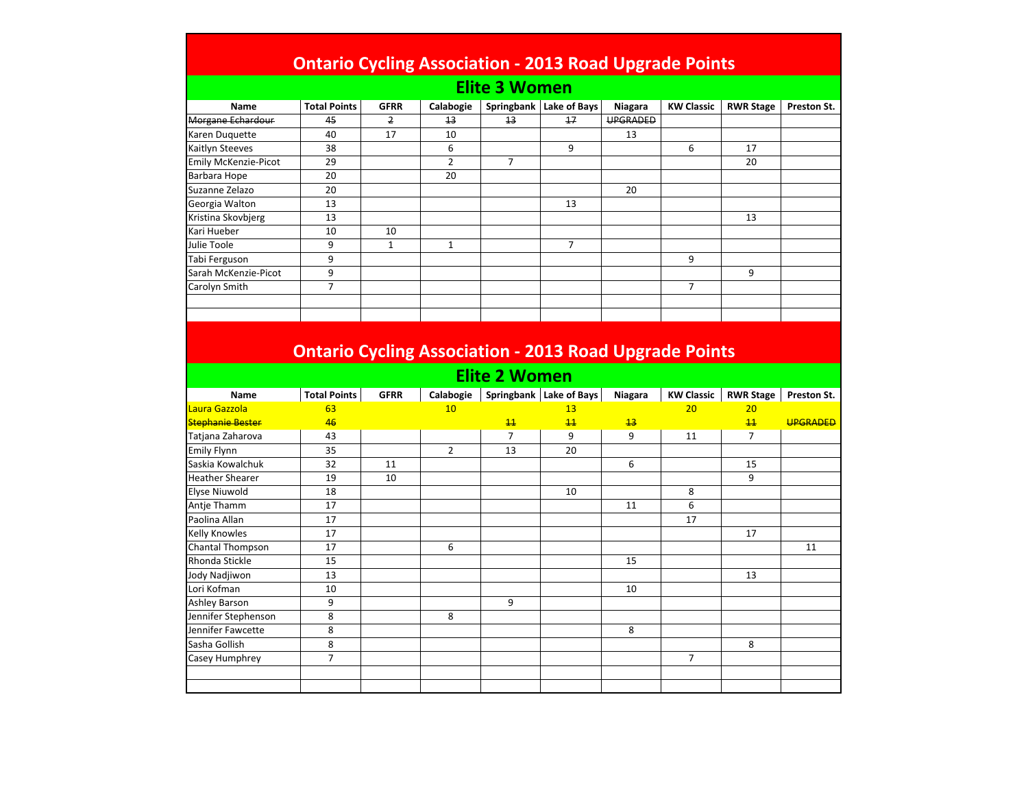## **Ontario Cycling Association ‐ 2013 Road Upgrade Points**

## **Elite 3 Women**

| <b>Name</b>                 | <b>Total Points</b> | <b>GFRR</b> | Calabogie      | Springbank | Lake of Bays | Niagara         | <b>KW Classic</b> | <b>RWR Stage</b> | Preston St. |
|-----------------------------|---------------------|-------------|----------------|------------|--------------|-----------------|-------------------|------------------|-------------|
| <b>Morgane Echardour</b>    | 45                  | 2           | 13             | 13         | 17           | <b>UPGRADED</b> |                   |                  |             |
| Karen Duquette              | 40                  | 17          | 10             |            |              | 13              |                   |                  |             |
| Kaitlyn Steeves             | 38                  |             | 6              |            | 9            |                 | 6                 | 17               |             |
| <b>Emily McKenzie-Picot</b> | 29                  |             | $\overline{2}$ |            |              |                 |                   | 20               |             |
| Barbara Hope                | 20                  |             | 20             |            |              |                 |                   |                  |             |
| Suzanne Zelazo              | 20                  |             |                |            |              | 20              |                   |                  |             |
| Georgia Walton              | 13                  |             |                |            | 13           |                 |                   |                  |             |
| Kristina Skovbjerg          | 13                  |             |                |            |              |                 |                   | 13               |             |
| Kari Hueber                 | 10                  | 10          |                |            |              |                 |                   |                  |             |
| Julie Toole                 | 9                   |             |                |            | 7            |                 |                   |                  |             |
| Tabi Ferguson               | 9                   |             |                |            |              |                 | 9                 |                  |             |
| Sarah McKenzie-Picot        | 9                   |             |                |            |              |                 |                   | 9                |             |
| Carolyn Smith               | $\overline{ }$      |             |                |            |              |                 | 7                 |                  |             |
|                             |                     |             |                |            |              |                 |                   |                  |             |
|                             |                     |             |                |            |              |                 |                   |                  |             |

## **Ontario Cycling Association ‐ 2013 Road Upgrade Points**

## **Elite 2 Women**

| Name                    | <b>Total Points</b> | <b>GFRR</b> | Calabogie       | Springbank      | Lake of Bays    | Niagara | <b>KW Classic</b> | <b>RWR Stage</b> | Preston St.     |
|-------------------------|---------------------|-------------|-----------------|-----------------|-----------------|---------|-------------------|------------------|-----------------|
| Laura Gazzola           | 63                  |             | 10 <sup>°</sup> |                 | 13              |         | 20                | 20               |                 |
| <b>Stephanie Bester</b> | 46                  |             |                 | $\overline{11}$ | $\overline{11}$ | 13      |                   | $\overline{11}$  | <b>UPGRADED</b> |
| Tatjana Zaharova        | 43                  |             |                 | $\overline{7}$  | 9               | 9       | 11                | 7                |                 |
| <b>Emily Flynn</b>      | 35                  |             | $\overline{2}$  | 13              | 20              |         |                   |                  |                 |
| Saskia Kowalchuk        | 32                  | 11          |                 |                 |                 | 6       |                   | 15               |                 |
| <b>Heather Shearer</b>  | 19                  | 10          |                 |                 |                 |         |                   | 9                |                 |
| <b>Elyse Niuwold</b>    | 18                  |             |                 |                 | 10              |         | 8                 |                  |                 |
| Antje Thamm             | 17                  |             |                 |                 |                 | 11      | 6                 |                  |                 |
| Paolina Allan           | 17                  |             |                 |                 |                 |         | 17                |                  |                 |
| <b>Kelly Knowles</b>    | 17                  |             |                 |                 |                 |         |                   | 17               |                 |
| Chantal Thompson        | 17                  |             | 6               |                 |                 |         |                   |                  | 11              |
| Rhonda Stickle          | 15                  |             |                 |                 |                 | 15      |                   |                  |                 |
| Jody Nadjiwon           | 13                  |             |                 |                 |                 |         |                   | 13               |                 |
| Lori Kofman             | 10                  |             |                 |                 |                 | 10      |                   |                  |                 |
| <b>Ashley Barson</b>    | 9                   |             |                 | 9               |                 |         |                   |                  |                 |
| Jennifer Stephenson     | 8                   |             | 8               |                 |                 |         |                   |                  |                 |
| Jennifer Fawcette       | 8                   |             |                 |                 |                 | 8       |                   |                  |                 |
| Sasha Gollish           | 8                   |             |                 |                 |                 |         |                   | 8                |                 |
| Casey Humphrey          | $\overline{7}$      |             |                 |                 |                 |         | $\overline{7}$    |                  |                 |
|                         |                     |             |                 |                 |                 |         |                   |                  |                 |
|                         |                     |             |                 |                 |                 |         |                   |                  |                 |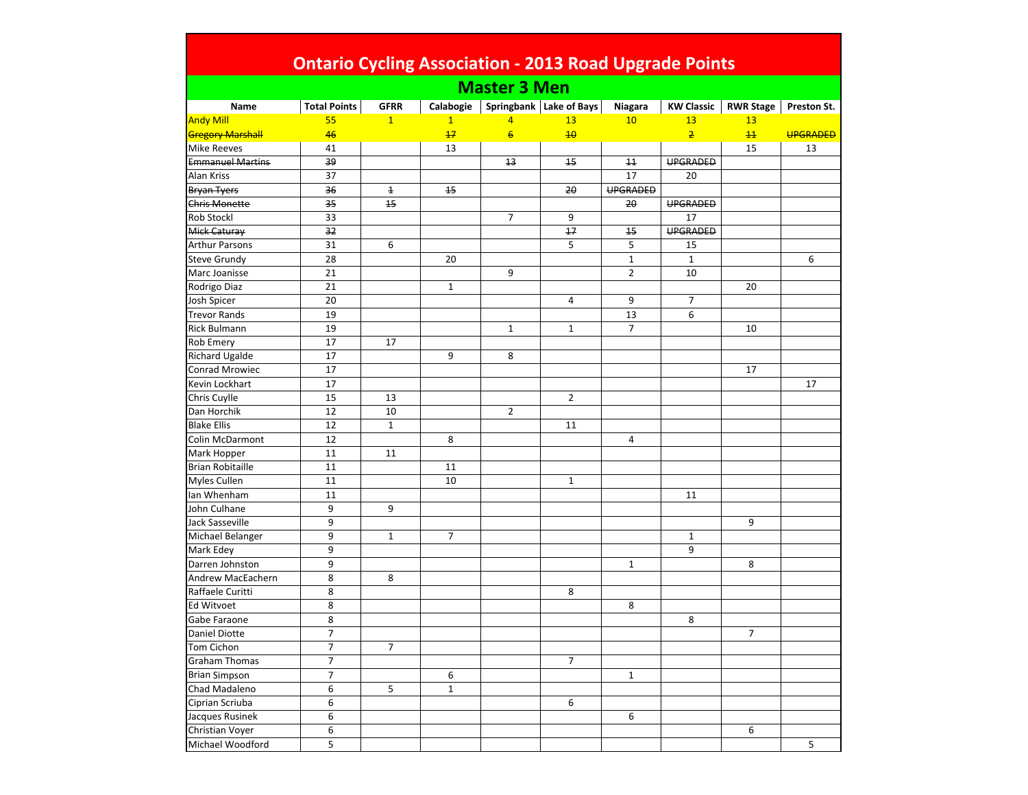| <b>Ontario Cycling Association - 2013 Road Upgrade Points</b><br><b>Master 3 Men</b><br>Springbank Lake of Bays<br>Calabogie<br><b>KW Classic</b><br><b>RWR Stage</b><br>Name<br><b>Total Points</b><br><b>GFRR</b><br>Niagara<br>Preston St.<br><b>Andy Mill</b><br>$\mathbf{1}$<br>$\mathbf{1}$<br>55<br>10<br>13<br>13<br>$\overline{4}$<br>13<br>6<br>46<br>10<br>$\overline{2}$<br><b>Gregory Marshall</b><br>$+7$<br>11<br><b>UPGRADED</b><br><b>Mike Reeves</b><br>41<br>13<br>15<br>13<br><b>Emmanuel Martins</b><br>13<br>11<br><b>UPGRADED</b><br>39<br>15<br>Alan Kriss<br>37<br>17<br>20<br><b>UPGRADED</b><br>36<br><b>Bryan Tyers</b><br>$\overline{1}$<br>15<br>20<br>UPGRADED<br><b>Chris Monette</b><br>35<br>15<br>20<br>$\overline{7}$<br>Rob Stockl<br>33<br>9<br>17<br>17<br><b>UPGRADED</b><br><b>Mick Caturay</b><br>32<br>$\overline{15}$<br>31<br>6<br>5<br>5<br><b>Arthur Parsons</b><br>15<br>$\mathbf 1$<br>$\mathbf{1}$<br>28<br>Steve Grundy<br>20<br>6<br>9<br>$\overline{2}$<br>10<br>Marc Joanisse<br>21<br>Rodrigo Diaz<br>$\mathbf{1}$<br>21<br>20<br>9<br>20<br>$\overline{7}$<br>Josh Spicer<br>4<br>19<br>13<br>6<br><b>Trevor Rands</b><br>Rick Bulmann<br>19<br>$\overline{7}$<br>$\mathbf{1}$<br>$\mathbf{1}$<br>10<br><b>Rob Emery</b><br>17<br>17<br>Richard Ugalde<br>17<br>9<br>8<br><b>Conrad Mrowiec</b><br>17<br>17<br>Kevin Lockhart<br>17<br>17<br>15<br>13<br>2<br>Chris Cuylle<br>$\overline{2}$<br>Dan Horchik<br>12<br>10<br><b>Blake Ellis</b><br>12<br>$\mathbf{1}$<br>11<br>Colin McDarmont<br>12<br>8<br>4<br>11<br>Mark Hopper<br>11<br><b>Brian Robitaille</b><br>11<br>11<br><b>Myles Cullen</b><br>11<br>10<br>$\mathbf{1}$<br>Ian Whenham<br>11<br>11<br>9<br>John Culhane<br>9<br>9<br>Jack Sasseville<br>9<br>Michael Belanger<br>9<br>$\overline{7}$<br>$\mathbf{1}$<br>$\mathbf{1}$<br>Mark Edey<br>9<br>9<br>9<br>8<br>Darren Johnston<br>$\mathbf{1}$<br>8<br>8<br><b>Andrew MacEachern</b><br>8<br>8<br>Raffaele Curitti<br>Ed Witvoet<br>8<br>8<br>8<br>Gabe Faraone<br>8<br><b>Daniel Diotte</b><br>7<br>$\overline{7}$<br>$\overline{7}$<br>$\overline{7}$<br>Tom Cichon<br>$\overline{7}$<br>$\overline{7}$<br><b>Graham Thomas</b><br><b>Brian Simpson</b><br>7<br>6<br>$\mathbf{1}$<br>6<br>Chad Madaleno<br>5<br>$\mathbf{1}$<br>6<br>Ciprian Scriuba<br>6<br>6<br>Jacques Rusinek<br>6<br>Christian Voyer<br>6<br>6 |  |  |  |  |  |
|---------------------------------------------------------------------------------------------------------------------------------------------------------------------------------------------------------------------------------------------------------------------------------------------------------------------------------------------------------------------------------------------------------------------------------------------------------------------------------------------------------------------------------------------------------------------------------------------------------------------------------------------------------------------------------------------------------------------------------------------------------------------------------------------------------------------------------------------------------------------------------------------------------------------------------------------------------------------------------------------------------------------------------------------------------------------------------------------------------------------------------------------------------------------------------------------------------------------------------------------------------------------------------------------------------------------------------------------------------------------------------------------------------------------------------------------------------------------------------------------------------------------------------------------------------------------------------------------------------------------------------------------------------------------------------------------------------------------------------------------------------------------------------------------------------------------------------------------------------------------------------------------------------------------------------------------------------------------------------------------------------------------------------------------------------------------------------------------------------------------------------------------------------------------------------------------------------------------------------------------------------------------------------------------------------------------------------------------------------------------------------------------------|--|--|--|--|--|
|                                                                                                                                                                                                                                                                                                                                                                                                                                                                                                                                                                                                                                                                                                                                                                                                                                                                                                                                                                                                                                                                                                                                                                                                                                                                                                                                                                                                                                                                                                                                                                                                                                                                                                                                                                                                                                                                                                                                                                                                                                                                                                                                                                                                                                                                                                                                                                                                   |  |  |  |  |  |
|                                                                                                                                                                                                                                                                                                                                                                                                                                                                                                                                                                                                                                                                                                                                                                                                                                                                                                                                                                                                                                                                                                                                                                                                                                                                                                                                                                                                                                                                                                                                                                                                                                                                                                                                                                                                                                                                                                                                                                                                                                                                                                                                                                                                                                                                                                                                                                                                   |  |  |  |  |  |
|                                                                                                                                                                                                                                                                                                                                                                                                                                                                                                                                                                                                                                                                                                                                                                                                                                                                                                                                                                                                                                                                                                                                                                                                                                                                                                                                                                                                                                                                                                                                                                                                                                                                                                                                                                                                                                                                                                                                                                                                                                                                                                                                                                                                                                                                                                                                                                                                   |  |  |  |  |  |
|                                                                                                                                                                                                                                                                                                                                                                                                                                                                                                                                                                                                                                                                                                                                                                                                                                                                                                                                                                                                                                                                                                                                                                                                                                                                                                                                                                                                                                                                                                                                                                                                                                                                                                                                                                                                                                                                                                                                                                                                                                                                                                                                                                                                                                                                                                                                                                                                   |  |  |  |  |  |
|                                                                                                                                                                                                                                                                                                                                                                                                                                                                                                                                                                                                                                                                                                                                                                                                                                                                                                                                                                                                                                                                                                                                                                                                                                                                                                                                                                                                                                                                                                                                                                                                                                                                                                                                                                                                                                                                                                                                                                                                                                                                                                                                                                                                                                                                                                                                                                                                   |  |  |  |  |  |
|                                                                                                                                                                                                                                                                                                                                                                                                                                                                                                                                                                                                                                                                                                                                                                                                                                                                                                                                                                                                                                                                                                                                                                                                                                                                                                                                                                                                                                                                                                                                                                                                                                                                                                                                                                                                                                                                                                                                                                                                                                                                                                                                                                                                                                                                                                                                                                                                   |  |  |  |  |  |
|                                                                                                                                                                                                                                                                                                                                                                                                                                                                                                                                                                                                                                                                                                                                                                                                                                                                                                                                                                                                                                                                                                                                                                                                                                                                                                                                                                                                                                                                                                                                                                                                                                                                                                                                                                                                                                                                                                                                                                                                                                                                                                                                                                                                                                                                                                                                                                                                   |  |  |  |  |  |
|                                                                                                                                                                                                                                                                                                                                                                                                                                                                                                                                                                                                                                                                                                                                                                                                                                                                                                                                                                                                                                                                                                                                                                                                                                                                                                                                                                                                                                                                                                                                                                                                                                                                                                                                                                                                                                                                                                                                                                                                                                                                                                                                                                                                                                                                                                                                                                                                   |  |  |  |  |  |
|                                                                                                                                                                                                                                                                                                                                                                                                                                                                                                                                                                                                                                                                                                                                                                                                                                                                                                                                                                                                                                                                                                                                                                                                                                                                                                                                                                                                                                                                                                                                                                                                                                                                                                                                                                                                                                                                                                                                                                                                                                                                                                                                                                                                                                                                                                                                                                                                   |  |  |  |  |  |
|                                                                                                                                                                                                                                                                                                                                                                                                                                                                                                                                                                                                                                                                                                                                                                                                                                                                                                                                                                                                                                                                                                                                                                                                                                                                                                                                                                                                                                                                                                                                                                                                                                                                                                                                                                                                                                                                                                                                                                                                                                                                                                                                                                                                                                                                                                                                                                                                   |  |  |  |  |  |
|                                                                                                                                                                                                                                                                                                                                                                                                                                                                                                                                                                                                                                                                                                                                                                                                                                                                                                                                                                                                                                                                                                                                                                                                                                                                                                                                                                                                                                                                                                                                                                                                                                                                                                                                                                                                                                                                                                                                                                                                                                                                                                                                                                                                                                                                                                                                                                                                   |  |  |  |  |  |
|                                                                                                                                                                                                                                                                                                                                                                                                                                                                                                                                                                                                                                                                                                                                                                                                                                                                                                                                                                                                                                                                                                                                                                                                                                                                                                                                                                                                                                                                                                                                                                                                                                                                                                                                                                                                                                                                                                                                                                                                                                                                                                                                                                                                                                                                                                                                                                                                   |  |  |  |  |  |
|                                                                                                                                                                                                                                                                                                                                                                                                                                                                                                                                                                                                                                                                                                                                                                                                                                                                                                                                                                                                                                                                                                                                                                                                                                                                                                                                                                                                                                                                                                                                                                                                                                                                                                                                                                                                                                                                                                                                                                                                                                                                                                                                                                                                                                                                                                                                                                                                   |  |  |  |  |  |
|                                                                                                                                                                                                                                                                                                                                                                                                                                                                                                                                                                                                                                                                                                                                                                                                                                                                                                                                                                                                                                                                                                                                                                                                                                                                                                                                                                                                                                                                                                                                                                                                                                                                                                                                                                                                                                                                                                                                                                                                                                                                                                                                                                                                                                                                                                                                                                                                   |  |  |  |  |  |
|                                                                                                                                                                                                                                                                                                                                                                                                                                                                                                                                                                                                                                                                                                                                                                                                                                                                                                                                                                                                                                                                                                                                                                                                                                                                                                                                                                                                                                                                                                                                                                                                                                                                                                                                                                                                                                                                                                                                                                                                                                                                                                                                                                                                                                                                                                                                                                                                   |  |  |  |  |  |
|                                                                                                                                                                                                                                                                                                                                                                                                                                                                                                                                                                                                                                                                                                                                                                                                                                                                                                                                                                                                                                                                                                                                                                                                                                                                                                                                                                                                                                                                                                                                                                                                                                                                                                                                                                                                                                                                                                                                                                                                                                                                                                                                                                                                                                                                                                                                                                                                   |  |  |  |  |  |
|                                                                                                                                                                                                                                                                                                                                                                                                                                                                                                                                                                                                                                                                                                                                                                                                                                                                                                                                                                                                                                                                                                                                                                                                                                                                                                                                                                                                                                                                                                                                                                                                                                                                                                                                                                                                                                                                                                                                                                                                                                                                                                                                                                                                                                                                                                                                                                                                   |  |  |  |  |  |
|                                                                                                                                                                                                                                                                                                                                                                                                                                                                                                                                                                                                                                                                                                                                                                                                                                                                                                                                                                                                                                                                                                                                                                                                                                                                                                                                                                                                                                                                                                                                                                                                                                                                                                                                                                                                                                                                                                                                                                                                                                                                                                                                                                                                                                                                                                                                                                                                   |  |  |  |  |  |
|                                                                                                                                                                                                                                                                                                                                                                                                                                                                                                                                                                                                                                                                                                                                                                                                                                                                                                                                                                                                                                                                                                                                                                                                                                                                                                                                                                                                                                                                                                                                                                                                                                                                                                                                                                                                                                                                                                                                                                                                                                                                                                                                                                                                                                                                                                                                                                                                   |  |  |  |  |  |
|                                                                                                                                                                                                                                                                                                                                                                                                                                                                                                                                                                                                                                                                                                                                                                                                                                                                                                                                                                                                                                                                                                                                                                                                                                                                                                                                                                                                                                                                                                                                                                                                                                                                                                                                                                                                                                                                                                                                                                                                                                                                                                                                                                                                                                                                                                                                                                                                   |  |  |  |  |  |
|                                                                                                                                                                                                                                                                                                                                                                                                                                                                                                                                                                                                                                                                                                                                                                                                                                                                                                                                                                                                                                                                                                                                                                                                                                                                                                                                                                                                                                                                                                                                                                                                                                                                                                                                                                                                                                                                                                                                                                                                                                                                                                                                                                                                                                                                                                                                                                                                   |  |  |  |  |  |
|                                                                                                                                                                                                                                                                                                                                                                                                                                                                                                                                                                                                                                                                                                                                                                                                                                                                                                                                                                                                                                                                                                                                                                                                                                                                                                                                                                                                                                                                                                                                                                                                                                                                                                                                                                                                                                                                                                                                                                                                                                                                                                                                                                                                                                                                                                                                                                                                   |  |  |  |  |  |
|                                                                                                                                                                                                                                                                                                                                                                                                                                                                                                                                                                                                                                                                                                                                                                                                                                                                                                                                                                                                                                                                                                                                                                                                                                                                                                                                                                                                                                                                                                                                                                                                                                                                                                                                                                                                                                                                                                                                                                                                                                                                                                                                                                                                                                                                                                                                                                                                   |  |  |  |  |  |
|                                                                                                                                                                                                                                                                                                                                                                                                                                                                                                                                                                                                                                                                                                                                                                                                                                                                                                                                                                                                                                                                                                                                                                                                                                                                                                                                                                                                                                                                                                                                                                                                                                                                                                                                                                                                                                                                                                                                                                                                                                                                                                                                                                                                                                                                                                                                                                                                   |  |  |  |  |  |
|                                                                                                                                                                                                                                                                                                                                                                                                                                                                                                                                                                                                                                                                                                                                                                                                                                                                                                                                                                                                                                                                                                                                                                                                                                                                                                                                                                                                                                                                                                                                                                                                                                                                                                                                                                                                                                                                                                                                                                                                                                                                                                                                                                                                                                                                                                                                                                                                   |  |  |  |  |  |
|                                                                                                                                                                                                                                                                                                                                                                                                                                                                                                                                                                                                                                                                                                                                                                                                                                                                                                                                                                                                                                                                                                                                                                                                                                                                                                                                                                                                                                                                                                                                                                                                                                                                                                                                                                                                                                                                                                                                                                                                                                                                                                                                                                                                                                                                                                                                                                                                   |  |  |  |  |  |
|                                                                                                                                                                                                                                                                                                                                                                                                                                                                                                                                                                                                                                                                                                                                                                                                                                                                                                                                                                                                                                                                                                                                                                                                                                                                                                                                                                                                                                                                                                                                                                                                                                                                                                                                                                                                                                                                                                                                                                                                                                                                                                                                                                                                                                                                                                                                                                                                   |  |  |  |  |  |
|                                                                                                                                                                                                                                                                                                                                                                                                                                                                                                                                                                                                                                                                                                                                                                                                                                                                                                                                                                                                                                                                                                                                                                                                                                                                                                                                                                                                                                                                                                                                                                                                                                                                                                                                                                                                                                                                                                                                                                                                                                                                                                                                                                                                                                                                                                                                                                                                   |  |  |  |  |  |
|                                                                                                                                                                                                                                                                                                                                                                                                                                                                                                                                                                                                                                                                                                                                                                                                                                                                                                                                                                                                                                                                                                                                                                                                                                                                                                                                                                                                                                                                                                                                                                                                                                                                                                                                                                                                                                                                                                                                                                                                                                                                                                                                                                                                                                                                                                                                                                                                   |  |  |  |  |  |
|                                                                                                                                                                                                                                                                                                                                                                                                                                                                                                                                                                                                                                                                                                                                                                                                                                                                                                                                                                                                                                                                                                                                                                                                                                                                                                                                                                                                                                                                                                                                                                                                                                                                                                                                                                                                                                                                                                                                                                                                                                                                                                                                                                                                                                                                                                                                                                                                   |  |  |  |  |  |
|                                                                                                                                                                                                                                                                                                                                                                                                                                                                                                                                                                                                                                                                                                                                                                                                                                                                                                                                                                                                                                                                                                                                                                                                                                                                                                                                                                                                                                                                                                                                                                                                                                                                                                                                                                                                                                                                                                                                                                                                                                                                                                                                                                                                                                                                                                                                                                                                   |  |  |  |  |  |
|                                                                                                                                                                                                                                                                                                                                                                                                                                                                                                                                                                                                                                                                                                                                                                                                                                                                                                                                                                                                                                                                                                                                                                                                                                                                                                                                                                                                                                                                                                                                                                                                                                                                                                                                                                                                                                                                                                                                                                                                                                                                                                                                                                                                                                                                                                                                                                                                   |  |  |  |  |  |
|                                                                                                                                                                                                                                                                                                                                                                                                                                                                                                                                                                                                                                                                                                                                                                                                                                                                                                                                                                                                                                                                                                                                                                                                                                                                                                                                                                                                                                                                                                                                                                                                                                                                                                                                                                                                                                                                                                                                                                                                                                                                                                                                                                                                                                                                                                                                                                                                   |  |  |  |  |  |
|                                                                                                                                                                                                                                                                                                                                                                                                                                                                                                                                                                                                                                                                                                                                                                                                                                                                                                                                                                                                                                                                                                                                                                                                                                                                                                                                                                                                                                                                                                                                                                                                                                                                                                                                                                                                                                                                                                                                                                                                                                                                                                                                                                                                                                                                                                                                                                                                   |  |  |  |  |  |
|                                                                                                                                                                                                                                                                                                                                                                                                                                                                                                                                                                                                                                                                                                                                                                                                                                                                                                                                                                                                                                                                                                                                                                                                                                                                                                                                                                                                                                                                                                                                                                                                                                                                                                                                                                                                                                                                                                                                                                                                                                                                                                                                                                                                                                                                                                                                                                                                   |  |  |  |  |  |
|                                                                                                                                                                                                                                                                                                                                                                                                                                                                                                                                                                                                                                                                                                                                                                                                                                                                                                                                                                                                                                                                                                                                                                                                                                                                                                                                                                                                                                                                                                                                                                                                                                                                                                                                                                                                                                                                                                                                                                                                                                                                                                                                                                                                                                                                                                                                                                                                   |  |  |  |  |  |
|                                                                                                                                                                                                                                                                                                                                                                                                                                                                                                                                                                                                                                                                                                                                                                                                                                                                                                                                                                                                                                                                                                                                                                                                                                                                                                                                                                                                                                                                                                                                                                                                                                                                                                                                                                                                                                                                                                                                                                                                                                                                                                                                                                                                                                                                                                                                                                                                   |  |  |  |  |  |
|                                                                                                                                                                                                                                                                                                                                                                                                                                                                                                                                                                                                                                                                                                                                                                                                                                                                                                                                                                                                                                                                                                                                                                                                                                                                                                                                                                                                                                                                                                                                                                                                                                                                                                                                                                                                                                                                                                                                                                                                                                                                                                                                                                                                                                                                                                                                                                                                   |  |  |  |  |  |
|                                                                                                                                                                                                                                                                                                                                                                                                                                                                                                                                                                                                                                                                                                                                                                                                                                                                                                                                                                                                                                                                                                                                                                                                                                                                                                                                                                                                                                                                                                                                                                                                                                                                                                                                                                                                                                                                                                                                                                                                                                                                                                                                                                                                                                                                                                                                                                                                   |  |  |  |  |  |
|                                                                                                                                                                                                                                                                                                                                                                                                                                                                                                                                                                                                                                                                                                                                                                                                                                                                                                                                                                                                                                                                                                                                                                                                                                                                                                                                                                                                                                                                                                                                                                                                                                                                                                                                                                                                                                                                                                                                                                                                                                                                                                                                                                                                                                                                                                                                                                                                   |  |  |  |  |  |
|                                                                                                                                                                                                                                                                                                                                                                                                                                                                                                                                                                                                                                                                                                                                                                                                                                                                                                                                                                                                                                                                                                                                                                                                                                                                                                                                                                                                                                                                                                                                                                                                                                                                                                                                                                                                                                                                                                                                                                                                                                                                                                                                                                                                                                                                                                                                                                                                   |  |  |  |  |  |
|                                                                                                                                                                                                                                                                                                                                                                                                                                                                                                                                                                                                                                                                                                                                                                                                                                                                                                                                                                                                                                                                                                                                                                                                                                                                                                                                                                                                                                                                                                                                                                                                                                                                                                                                                                                                                                                                                                                                                                                                                                                                                                                                                                                                                                                                                                                                                                                                   |  |  |  |  |  |
|                                                                                                                                                                                                                                                                                                                                                                                                                                                                                                                                                                                                                                                                                                                                                                                                                                                                                                                                                                                                                                                                                                                                                                                                                                                                                                                                                                                                                                                                                                                                                                                                                                                                                                                                                                                                                                                                                                                                                                                                                                                                                                                                                                                                                                                                                                                                                                                                   |  |  |  |  |  |
|                                                                                                                                                                                                                                                                                                                                                                                                                                                                                                                                                                                                                                                                                                                                                                                                                                                                                                                                                                                                                                                                                                                                                                                                                                                                                                                                                                                                                                                                                                                                                                                                                                                                                                                                                                                                                                                                                                                                                                                                                                                                                                                                                                                                                                                                                                                                                                                                   |  |  |  |  |  |
|                                                                                                                                                                                                                                                                                                                                                                                                                                                                                                                                                                                                                                                                                                                                                                                                                                                                                                                                                                                                                                                                                                                                                                                                                                                                                                                                                                                                                                                                                                                                                                                                                                                                                                                                                                                                                                                                                                                                                                                                                                                                                                                                                                                                                                                                                                                                                                                                   |  |  |  |  |  |
|                                                                                                                                                                                                                                                                                                                                                                                                                                                                                                                                                                                                                                                                                                                                                                                                                                                                                                                                                                                                                                                                                                                                                                                                                                                                                                                                                                                                                                                                                                                                                                                                                                                                                                                                                                                                                                                                                                                                                                                                                                                                                                                                                                                                                                                                                                                                                                                                   |  |  |  |  |  |
|                                                                                                                                                                                                                                                                                                                                                                                                                                                                                                                                                                                                                                                                                                                                                                                                                                                                                                                                                                                                                                                                                                                                                                                                                                                                                                                                                                                                                                                                                                                                                                                                                                                                                                                                                                                                                                                                                                                                                                                                                                                                                                                                                                                                                                                                                                                                                                                                   |  |  |  |  |  |
| Michael Woodford<br>5<br>5                                                                                                                                                                                                                                                                                                                                                                                                                                                                                                                                                                                                                                                                                                                                                                                                                                                                                                                                                                                                                                                                                                                                                                                                                                                                                                                                                                                                                                                                                                                                                                                                                                                                                                                                                                                                                                                                                                                                                                                                                                                                                                                                                                                                                                                                                                                                                                        |  |  |  |  |  |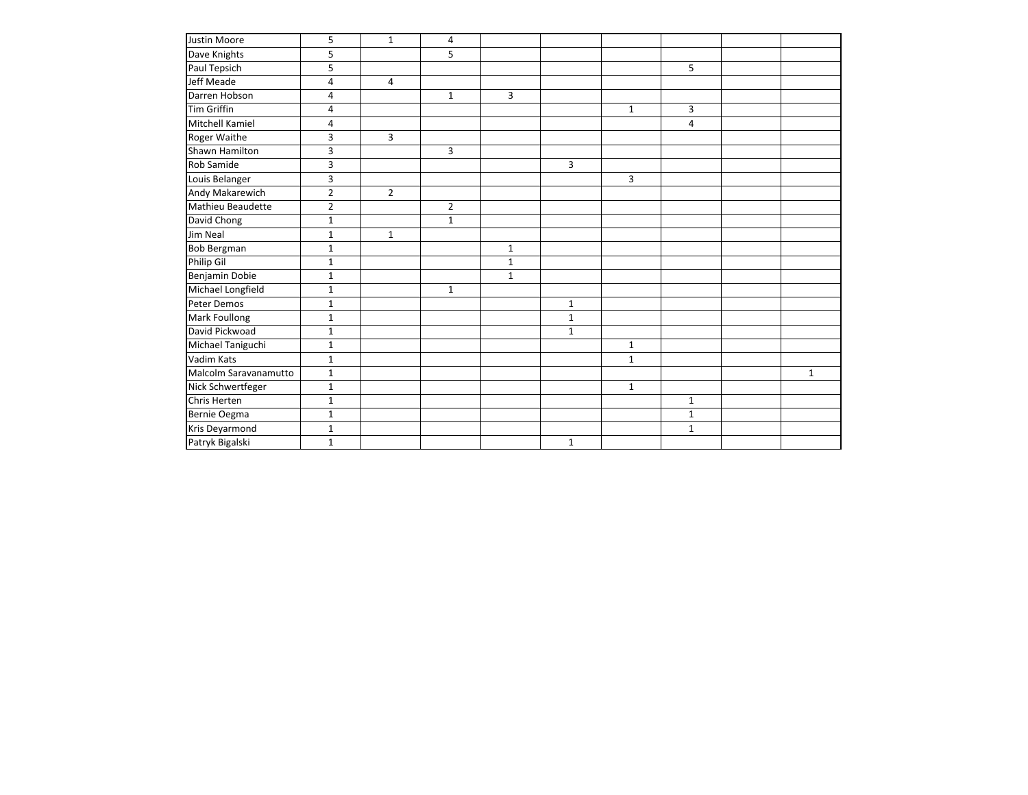| Justin Moore          | 5              | $\mathbf{1}$   | 4              |              |              |              |              |              |
|-----------------------|----------------|----------------|----------------|--------------|--------------|--------------|--------------|--------------|
| Dave Knights          | 5              |                | 5              |              |              |              |              |              |
| Paul Tepsich          | 5              |                |                |              |              |              | 5            |              |
| <b>Jeff Meade</b>     | $\overline{4}$ | $\overline{4}$ |                |              |              |              |              |              |
| Darren Hobson         | 4              |                | $\mathbf{1}$   | 3            |              |              |              |              |
| <b>Tim Griffin</b>    | 4              |                |                |              |              | $\mathbf{1}$ | 3            |              |
| Mitchell Kamiel       | 4              |                |                |              |              |              | 4            |              |
| Roger Waithe          | 3              | 3              |                |              |              |              |              |              |
| Shawn Hamilton        | 3              |                | 3              |              |              |              |              |              |
| Rob Samide            | 3              |                |                |              | 3            |              |              |              |
| Louis Belanger        | 3              |                |                |              |              | 3            |              |              |
| Andy Makarewich       | $\overline{2}$ | $\overline{2}$ |                |              |              |              |              |              |
| Mathieu Beaudette     | $\overline{2}$ |                | $\overline{2}$ |              |              |              |              |              |
| David Chong           | $\mathbf{1}$   |                | $\mathbf{1}$   |              |              |              |              |              |
| Jim Neal              | $1\,$          | $\mathbf{1}$   |                |              |              |              |              |              |
| <b>Bob Bergman</b>    | $\mathbf{1}$   |                |                | $\mathbf{1}$ |              |              |              |              |
| Philip Gil            | $\mathbf{1}$   |                |                | $\mathbf{1}$ |              |              |              |              |
| Benjamin Dobie        | $\mathbf{1}$   |                |                | $\mathbf{1}$ |              |              |              |              |
| Michael Longfield     | $\mathbf{1}$   |                | $\mathbf{1}$   |              |              |              |              |              |
| Peter Demos           | $\mathbf{1}$   |                |                |              | $\mathbf 1$  |              |              |              |
| Mark Foullong         | $\mathbf{1}$   |                |                |              | $\mathbf{1}$ |              |              |              |
| David Pickwoad        | $\mathbf{1}$   |                |                |              | $\mathbf 1$  |              |              |              |
| Michael Taniguchi     | $\mathbf{1}$   |                |                |              |              | $1\,$        |              |              |
| Vadim Kats            | $\mathbf{1}$   |                |                |              |              | $\mathbf{1}$ |              |              |
| Malcolm Saravanamutto | $1\,$          |                |                |              |              |              |              | $\mathbf{1}$ |
| Nick Schwertfeger     | $\mathbf 1$    |                |                |              |              | $\mathbf{1}$ |              |              |
| Chris Herten          | $\mathbf{1}$   |                |                |              |              |              | $\mathbf{1}$ |              |
| Bernie Oegma          | $\mathbf{1}$   |                |                |              |              |              | $\mathbf{1}$ |              |
| Kris Deyarmond        | $\mathbf{1}$   |                |                |              |              |              | $\mathbf{1}$ |              |
| Patryk Bigalski       | $\mathbf{1}$   |                |                |              | $\mathbf 1$  |              |              |              |
|                       |                |                |                |              |              |              |              |              |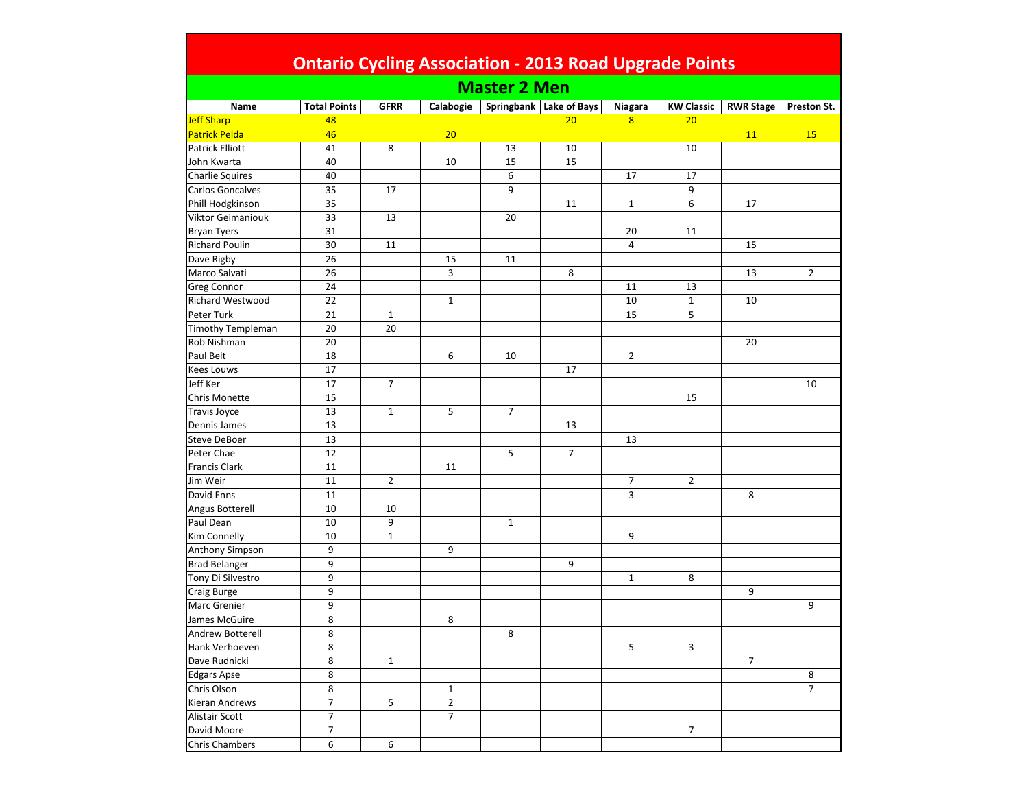|  | <b>Ontario Cycling Association - 2013 Road Upgrade Points</b> |  |  |
|--|---------------------------------------------------------------|--|--|
|  |                                                               |  |  |

| <b>Total Points</b><br>Springbank Lake of Bays<br><b>KW Classic</b><br><b>RWR Stage</b><br>Name<br><b>GFRR</b><br>Calabogie<br>Niagara<br>Preston St.<br>20<br>48<br>20<br>8<br>20<br>46<br>11<br>15<br>41<br>8<br>13<br>10<br>10<br>15<br>15<br>40<br>10<br>6<br>40<br>17<br>17<br>17<br>9<br>35<br>9<br>35<br>6<br>17<br>11<br>$\mathbf{1}$<br>33<br>13<br>20<br>31<br>20<br>11<br>30<br>11<br>4<br>15<br>26<br>15<br>11<br>26<br>3<br>8<br>$\overline{2}$<br>13<br>24<br>13<br>11<br>22<br>$\mathbf{1}$<br>10<br>$\mathbf 1$<br>10<br>15<br>21<br>5<br>$\mathbf{1}$<br>20<br>20<br>20<br>20<br>18<br>6<br>10<br>$\overline{2}$<br>17<br>17<br>Jeff Ker<br>17<br>$\overline{7}$<br>10<br>15<br>15<br>13<br>5<br>$\overline{7}$<br>$\mathbf{1}$<br>13<br>13<br>13<br>13<br>12<br>5<br>$\overline{7}$<br>11<br>11<br>$\overline{2}$<br>$\overline{2}$<br>11<br>$\overline{7}$<br>David Enns<br>11<br>3<br>8<br>10<br>Angus Botterell<br>10<br>10<br>9<br>$1\,$<br>$\mathbf{1}$<br>10<br>9<br>Anthony Simpson<br>9<br>9<br>9<br><b>Brad Belanger</b><br>9<br>Tony Di Silvestro<br>9<br>$1\,$<br>8<br>9<br>9<br><b>Craig Burge</b><br>9<br>9<br>Marc Grenier<br>8<br>James McGuire<br>8<br>8<br>8<br>Andrew Botterell<br>8<br>5<br>3<br>Hank Verhoeven<br>8<br>Dave Rudnicki<br>$\overline{7}$<br>$\mathbf{1}$<br>8<br><b>Edgars Apse</b><br>8<br>$\overline{7}$<br>8<br>Chris Olson<br>$\mathbf{1}$<br>$\boldsymbol{7}$<br>$\overline{2}$<br>Kieran Andrews<br>5<br>$\boldsymbol{7}$<br>7<br><b>Alistair Scott</b><br>$\overline{7}$<br>David Moore<br>$\overline{7}$<br>6<br>6 |                          |  | <b>Master 2 Men</b> |  |  |  |
|--------------------------------------------------------------------------------------------------------------------------------------------------------------------------------------------------------------------------------------------------------------------------------------------------------------------------------------------------------------------------------------------------------------------------------------------------------------------------------------------------------------------------------------------------------------------------------------------------------------------------------------------------------------------------------------------------------------------------------------------------------------------------------------------------------------------------------------------------------------------------------------------------------------------------------------------------------------------------------------------------------------------------------------------------------------------------------------------------------------------------------------------------------------------------------------------------------------------------------------------------------------------------------------------------------------------------------------------------------------------------------------------------------------------------------------------------------------------------------------------------------------------------------------------------------------------------------|--------------------------|--|---------------------|--|--|--|
|                                                                                                                                                                                                                                                                                                                                                                                                                                                                                                                                                                                                                                                                                                                                                                                                                                                                                                                                                                                                                                                                                                                                                                                                                                                                                                                                                                                                                                                                                                                                                                                |                          |  |                     |  |  |  |
|                                                                                                                                                                                                                                                                                                                                                                                                                                                                                                                                                                                                                                                                                                                                                                                                                                                                                                                                                                                                                                                                                                                                                                                                                                                                                                                                                                                                                                                                                                                                                                                | <b>Jeff Sharp</b>        |  |                     |  |  |  |
|                                                                                                                                                                                                                                                                                                                                                                                                                                                                                                                                                                                                                                                                                                                                                                                                                                                                                                                                                                                                                                                                                                                                                                                                                                                                                                                                                                                                                                                                                                                                                                                | <b>Patrick Pelda</b>     |  |                     |  |  |  |
|                                                                                                                                                                                                                                                                                                                                                                                                                                                                                                                                                                                                                                                                                                                                                                                                                                                                                                                                                                                                                                                                                                                                                                                                                                                                                                                                                                                                                                                                                                                                                                                | <b>Patrick Elliott</b>   |  |                     |  |  |  |
|                                                                                                                                                                                                                                                                                                                                                                                                                                                                                                                                                                                                                                                                                                                                                                                                                                                                                                                                                                                                                                                                                                                                                                                                                                                                                                                                                                                                                                                                                                                                                                                | John Kwarta              |  |                     |  |  |  |
|                                                                                                                                                                                                                                                                                                                                                                                                                                                                                                                                                                                                                                                                                                                                                                                                                                                                                                                                                                                                                                                                                                                                                                                                                                                                                                                                                                                                                                                                                                                                                                                | <b>Charlie Squires</b>   |  |                     |  |  |  |
|                                                                                                                                                                                                                                                                                                                                                                                                                                                                                                                                                                                                                                                                                                                                                                                                                                                                                                                                                                                                                                                                                                                                                                                                                                                                                                                                                                                                                                                                                                                                                                                | Carlos Goncalves         |  |                     |  |  |  |
|                                                                                                                                                                                                                                                                                                                                                                                                                                                                                                                                                                                                                                                                                                                                                                                                                                                                                                                                                                                                                                                                                                                                                                                                                                                                                                                                                                                                                                                                                                                                                                                | Phill Hodgkinson         |  |                     |  |  |  |
|                                                                                                                                                                                                                                                                                                                                                                                                                                                                                                                                                                                                                                                                                                                                                                                                                                                                                                                                                                                                                                                                                                                                                                                                                                                                                                                                                                                                                                                                                                                                                                                | Viktor Geimaniouk        |  |                     |  |  |  |
|                                                                                                                                                                                                                                                                                                                                                                                                                                                                                                                                                                                                                                                                                                                                                                                                                                                                                                                                                                                                                                                                                                                                                                                                                                                                                                                                                                                                                                                                                                                                                                                | <b>Bryan Tyers</b>       |  |                     |  |  |  |
|                                                                                                                                                                                                                                                                                                                                                                                                                                                                                                                                                                                                                                                                                                                                                                                                                                                                                                                                                                                                                                                                                                                                                                                                                                                                                                                                                                                                                                                                                                                                                                                | <b>Richard Poulin</b>    |  |                     |  |  |  |
|                                                                                                                                                                                                                                                                                                                                                                                                                                                                                                                                                                                                                                                                                                                                                                                                                                                                                                                                                                                                                                                                                                                                                                                                                                                                                                                                                                                                                                                                                                                                                                                | Dave Rigby               |  |                     |  |  |  |
|                                                                                                                                                                                                                                                                                                                                                                                                                                                                                                                                                                                                                                                                                                                                                                                                                                                                                                                                                                                                                                                                                                                                                                                                                                                                                                                                                                                                                                                                                                                                                                                | Marco Salvati            |  |                     |  |  |  |
|                                                                                                                                                                                                                                                                                                                                                                                                                                                                                                                                                                                                                                                                                                                                                                                                                                                                                                                                                                                                                                                                                                                                                                                                                                                                                                                                                                                                                                                                                                                                                                                | <b>Greg Connor</b>       |  |                     |  |  |  |
|                                                                                                                                                                                                                                                                                                                                                                                                                                                                                                                                                                                                                                                                                                                                                                                                                                                                                                                                                                                                                                                                                                                                                                                                                                                                                                                                                                                                                                                                                                                                                                                | Richard Westwood         |  |                     |  |  |  |
|                                                                                                                                                                                                                                                                                                                                                                                                                                                                                                                                                                                                                                                                                                                                                                                                                                                                                                                                                                                                                                                                                                                                                                                                                                                                                                                                                                                                                                                                                                                                                                                | Peter Turk               |  |                     |  |  |  |
|                                                                                                                                                                                                                                                                                                                                                                                                                                                                                                                                                                                                                                                                                                                                                                                                                                                                                                                                                                                                                                                                                                                                                                                                                                                                                                                                                                                                                                                                                                                                                                                | <b>Timothy Templeman</b> |  |                     |  |  |  |
|                                                                                                                                                                                                                                                                                                                                                                                                                                                                                                                                                                                                                                                                                                                                                                                                                                                                                                                                                                                                                                                                                                                                                                                                                                                                                                                                                                                                                                                                                                                                                                                | Rob Nishman              |  |                     |  |  |  |
|                                                                                                                                                                                                                                                                                                                                                                                                                                                                                                                                                                                                                                                                                                                                                                                                                                                                                                                                                                                                                                                                                                                                                                                                                                                                                                                                                                                                                                                                                                                                                                                | Paul Beit                |  |                     |  |  |  |
|                                                                                                                                                                                                                                                                                                                                                                                                                                                                                                                                                                                                                                                                                                                                                                                                                                                                                                                                                                                                                                                                                                                                                                                                                                                                                                                                                                                                                                                                                                                                                                                | <b>Kees Louws</b>        |  |                     |  |  |  |
|                                                                                                                                                                                                                                                                                                                                                                                                                                                                                                                                                                                                                                                                                                                                                                                                                                                                                                                                                                                                                                                                                                                                                                                                                                                                                                                                                                                                                                                                                                                                                                                |                          |  |                     |  |  |  |
|                                                                                                                                                                                                                                                                                                                                                                                                                                                                                                                                                                                                                                                                                                                                                                                                                                                                                                                                                                                                                                                                                                                                                                                                                                                                                                                                                                                                                                                                                                                                                                                | <b>Chris Monette</b>     |  |                     |  |  |  |
|                                                                                                                                                                                                                                                                                                                                                                                                                                                                                                                                                                                                                                                                                                                                                                                                                                                                                                                                                                                                                                                                                                                                                                                                                                                                                                                                                                                                                                                                                                                                                                                | <b>Travis Joyce</b>      |  |                     |  |  |  |
|                                                                                                                                                                                                                                                                                                                                                                                                                                                                                                                                                                                                                                                                                                                                                                                                                                                                                                                                                                                                                                                                                                                                                                                                                                                                                                                                                                                                                                                                                                                                                                                | Dennis James             |  |                     |  |  |  |
|                                                                                                                                                                                                                                                                                                                                                                                                                                                                                                                                                                                                                                                                                                                                                                                                                                                                                                                                                                                                                                                                                                                                                                                                                                                                                                                                                                                                                                                                                                                                                                                | <b>Steve DeBoer</b>      |  |                     |  |  |  |
|                                                                                                                                                                                                                                                                                                                                                                                                                                                                                                                                                                                                                                                                                                                                                                                                                                                                                                                                                                                                                                                                                                                                                                                                                                                                                                                                                                                                                                                                                                                                                                                | Peter Chae               |  |                     |  |  |  |
|                                                                                                                                                                                                                                                                                                                                                                                                                                                                                                                                                                                                                                                                                                                                                                                                                                                                                                                                                                                                                                                                                                                                                                                                                                                                                                                                                                                                                                                                                                                                                                                | <b>Francis Clark</b>     |  |                     |  |  |  |
|                                                                                                                                                                                                                                                                                                                                                                                                                                                                                                                                                                                                                                                                                                                                                                                                                                                                                                                                                                                                                                                                                                                                                                                                                                                                                                                                                                                                                                                                                                                                                                                | Jim Weir                 |  |                     |  |  |  |
|                                                                                                                                                                                                                                                                                                                                                                                                                                                                                                                                                                                                                                                                                                                                                                                                                                                                                                                                                                                                                                                                                                                                                                                                                                                                                                                                                                                                                                                                                                                                                                                |                          |  |                     |  |  |  |
|                                                                                                                                                                                                                                                                                                                                                                                                                                                                                                                                                                                                                                                                                                                                                                                                                                                                                                                                                                                                                                                                                                                                                                                                                                                                                                                                                                                                                                                                                                                                                                                |                          |  |                     |  |  |  |
|                                                                                                                                                                                                                                                                                                                                                                                                                                                                                                                                                                                                                                                                                                                                                                                                                                                                                                                                                                                                                                                                                                                                                                                                                                                                                                                                                                                                                                                                                                                                                                                | Paul Dean                |  |                     |  |  |  |
|                                                                                                                                                                                                                                                                                                                                                                                                                                                                                                                                                                                                                                                                                                                                                                                                                                                                                                                                                                                                                                                                                                                                                                                                                                                                                                                                                                                                                                                                                                                                                                                | Kim Connelly             |  |                     |  |  |  |
|                                                                                                                                                                                                                                                                                                                                                                                                                                                                                                                                                                                                                                                                                                                                                                                                                                                                                                                                                                                                                                                                                                                                                                                                                                                                                                                                                                                                                                                                                                                                                                                |                          |  |                     |  |  |  |
|                                                                                                                                                                                                                                                                                                                                                                                                                                                                                                                                                                                                                                                                                                                                                                                                                                                                                                                                                                                                                                                                                                                                                                                                                                                                                                                                                                                                                                                                                                                                                                                |                          |  |                     |  |  |  |
|                                                                                                                                                                                                                                                                                                                                                                                                                                                                                                                                                                                                                                                                                                                                                                                                                                                                                                                                                                                                                                                                                                                                                                                                                                                                                                                                                                                                                                                                                                                                                                                |                          |  |                     |  |  |  |
|                                                                                                                                                                                                                                                                                                                                                                                                                                                                                                                                                                                                                                                                                                                                                                                                                                                                                                                                                                                                                                                                                                                                                                                                                                                                                                                                                                                                                                                                                                                                                                                |                          |  |                     |  |  |  |
|                                                                                                                                                                                                                                                                                                                                                                                                                                                                                                                                                                                                                                                                                                                                                                                                                                                                                                                                                                                                                                                                                                                                                                                                                                                                                                                                                                                                                                                                                                                                                                                |                          |  |                     |  |  |  |
|                                                                                                                                                                                                                                                                                                                                                                                                                                                                                                                                                                                                                                                                                                                                                                                                                                                                                                                                                                                                                                                                                                                                                                                                                                                                                                                                                                                                                                                                                                                                                                                |                          |  |                     |  |  |  |
|                                                                                                                                                                                                                                                                                                                                                                                                                                                                                                                                                                                                                                                                                                                                                                                                                                                                                                                                                                                                                                                                                                                                                                                                                                                                                                                                                                                                                                                                                                                                                                                |                          |  |                     |  |  |  |
|                                                                                                                                                                                                                                                                                                                                                                                                                                                                                                                                                                                                                                                                                                                                                                                                                                                                                                                                                                                                                                                                                                                                                                                                                                                                                                                                                                                                                                                                                                                                                                                |                          |  |                     |  |  |  |
|                                                                                                                                                                                                                                                                                                                                                                                                                                                                                                                                                                                                                                                                                                                                                                                                                                                                                                                                                                                                                                                                                                                                                                                                                                                                                                                                                                                                                                                                                                                                                                                |                          |  |                     |  |  |  |
|                                                                                                                                                                                                                                                                                                                                                                                                                                                                                                                                                                                                                                                                                                                                                                                                                                                                                                                                                                                                                                                                                                                                                                                                                                                                                                                                                                                                                                                                                                                                                                                |                          |  |                     |  |  |  |
|                                                                                                                                                                                                                                                                                                                                                                                                                                                                                                                                                                                                                                                                                                                                                                                                                                                                                                                                                                                                                                                                                                                                                                                                                                                                                                                                                                                                                                                                                                                                                                                |                          |  |                     |  |  |  |
|                                                                                                                                                                                                                                                                                                                                                                                                                                                                                                                                                                                                                                                                                                                                                                                                                                                                                                                                                                                                                                                                                                                                                                                                                                                                                                                                                                                                                                                                                                                                                                                |                          |  |                     |  |  |  |
|                                                                                                                                                                                                                                                                                                                                                                                                                                                                                                                                                                                                                                                                                                                                                                                                                                                                                                                                                                                                                                                                                                                                                                                                                                                                                                                                                                                                                                                                                                                                                                                |                          |  |                     |  |  |  |
|                                                                                                                                                                                                                                                                                                                                                                                                                                                                                                                                                                                                                                                                                                                                                                                                                                                                                                                                                                                                                                                                                                                                                                                                                                                                                                                                                                                                                                                                                                                                                                                |                          |  |                     |  |  |  |
|                                                                                                                                                                                                                                                                                                                                                                                                                                                                                                                                                                                                                                                                                                                                                                                                                                                                                                                                                                                                                                                                                                                                                                                                                                                                                                                                                                                                                                                                                                                                                                                | <b>Chris Chambers</b>    |  |                     |  |  |  |